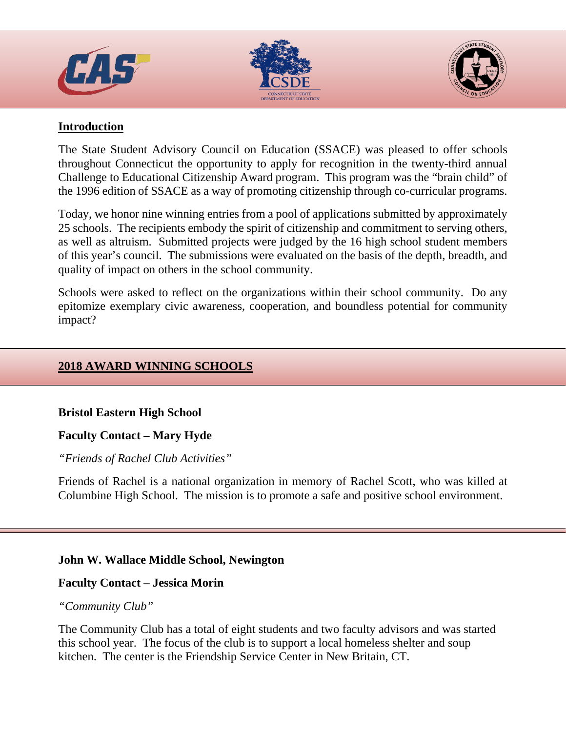





# **Introduction**

The State Student Advisory Council on Education (SSACE) was pleased to offer schools throughout Connecticut the opportunity to apply for recognition in the twenty-third annual Challenge to Educational Citizenship Award program. This program was the "brain child" of the 1996 edition of SSACE as a way of promoting citizenship through co-curricular programs.

Today, we honor nine winning entries from a pool of applications submitted by approximately 25 schools. The recipients embody the spirit of citizenship and commitment to serving others, as well as altruism. Submitted projects were judged by the 16 high school student members of this year's council. The submissions were evaluated on the basis of the depth, breadth, and quality of impact on others in the school community.

Schools were asked to reflect on the organizations within their school community. Do any epitomize exemplary civic awareness, cooperation, and boundless potential for community impact?

# **2018 AWARD WINNING SCHOOLS**

# **Bristol Eastern High School**

# **Faculty Contact – Mary Hyde**

# *"Friends of Rachel Club Activities"*

Friends of Rachel is a national organization in memory of Rachel Scott, who was killed at Columbine High School. The mission is to promote a safe and positive school environment.

# **John W. Wallace Middle School, Newington**

# **Faculty Contact – Jessica Morin**

# *"Community Club"*

The Community Club has a total of eight students and two faculty advisors and was started this school year. The focus of the club is to support a local homeless shelter and soup kitchen. The center is the Friendship Service Center in New Britain, CT.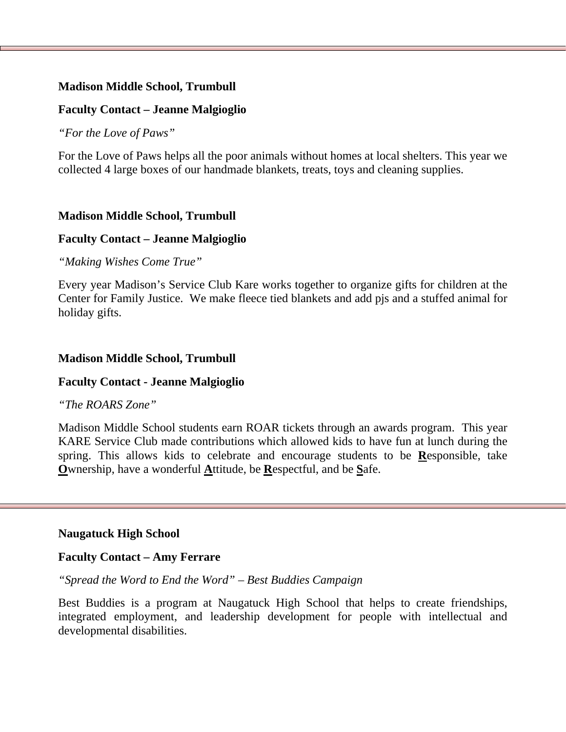## **Madison Middle School, Trumbull**

## **Faculty Contact – Jeanne Malgioglio**

*"For the Love of Paws"*

For the Love of Paws helps all the poor animals without homes at local shelters. This year we collected 4 large boxes of our handmade blankets, treats, toys and cleaning supplies.

### **Madison Middle School, Trumbull**

### **Faculty Contact – Jeanne Malgioglio**

*"Making Wishes Come True"*

Every year Madison's Service Club Kare works together to organize gifts for children at the Center for Family Justice. We make fleece tied blankets and add pjs and a stuffed animal for holiday gifts.

#### **Madison Middle School, Trumbull**

### **Faculty Contact - Jeanne Malgioglio**

#### *"The ROARS Zone"*

Madison Middle School students earn ROAR tickets through an awards program. This year KARE Service Club made contributions which allowed kids to have fun at lunch during the spring. This allows kids to celebrate and encourage students to be **R**esponsible, take **O**wnership, have a wonderful **A**ttitude, be **R**espectful, and be **S**afe.

### **Naugatuck High School**

### **Faculty Contact – Amy Ferrare**

*"Spread the Word to End the Word" – Best Buddies Campaign*

Best Buddies is a program at Naugatuck High School that helps to create friendships, integrated employment, and leadership development for people with intellectual and developmental disabilities.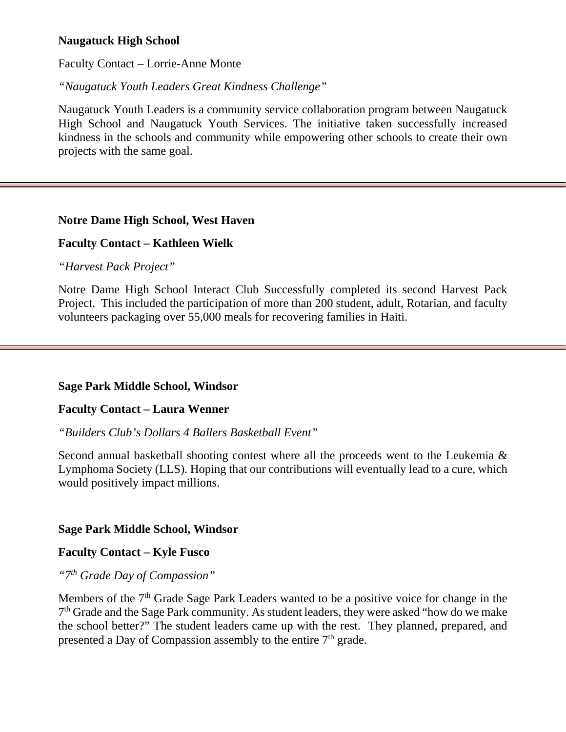# **Naugatuck High School**

Faculty Contact – Lorrie-Anne Monte

*"Naugatuck Youth Leaders Great Kindness Challenge"*

Naugatuck Youth Leaders is a community service collaboration program between Naugatuck High School and Naugatuck Youth Services. The initiative taken successfully increased kindness in the schools and community while empowering other schools to create their own projects with the same goal.

#### **Notre Dame High School, West Haven**

### **Faculty Contact – Kathleen Wielk**

*"Harvest Pack Project"*

Notre Dame High School Interact Club Successfully completed its second Harvest Pack Project. This included the participation of more than 200 student, adult, Rotarian, and faculty volunteers packaging over 55,000 meals for recovering families in Haiti.

#### **Sage Park Middle School, Windsor**

#### **Faculty Contact – Laura Wenner**

*"Builders Club's Dollars 4 Ballers Basketball Event"*

Second annual basketball shooting contest where all the proceeds went to the Leukemia & Lymphoma Society (LLS). Hoping that our contributions will eventually lead to a cure, which would positively impact millions.

#### **Sage Park Middle School, Windsor**

#### **Faculty Contact – Kyle Fusco**

*"7th Grade Day of Compassion"*

Members of the 7<sup>th</sup> Grade Sage Park Leaders wanted to be a positive voice for change in the 7th Grade and the Sage Park community. As student leaders, they were asked "how do we make the school better?" The student leaders came up with the rest. They planned, prepared, and presented a Day of Compassion assembly to the entire  $7<sup>th</sup>$  grade.